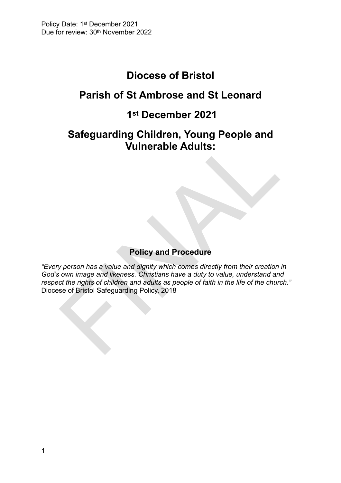# **Diocese of Bristol**

# **Parish of St Ambrose and St Leonard**

# **1st December 2021**

# **Safeguarding Children, Young People and Vulnerable Adults:**

# **Policy and Procedure**

Safeguarding Chilidren, Young People and<br>
Vulnerable Adults:<br>
Policy and Procedure<br>
verson has a value and dignity which comes directly from their creation<br>
own image and likeness. Chiristians have a duty to value, underst *"Every person has a value and dignity which comes directly from their creation in God's own image and likeness. Christians have a duty to value, understand and respect the rights of children and adults as people of faith in the life of the church."* Diocese of Bristol Safeguarding Policy, 2018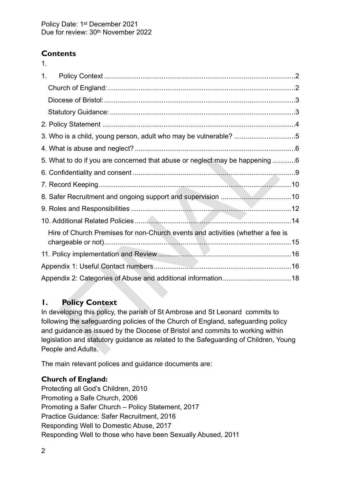# **Contents**

1.

| 1 <sub>1</sub>                                                                                                                                                                                                                                                                                                                                                     |  |
|--------------------------------------------------------------------------------------------------------------------------------------------------------------------------------------------------------------------------------------------------------------------------------------------------------------------------------------------------------------------|--|
|                                                                                                                                                                                                                                                                                                                                                                    |  |
|                                                                                                                                                                                                                                                                                                                                                                    |  |
|                                                                                                                                                                                                                                                                                                                                                                    |  |
|                                                                                                                                                                                                                                                                                                                                                                    |  |
| 3. Who is a child, young person, adult who may be vulnerable? 5                                                                                                                                                                                                                                                                                                    |  |
|                                                                                                                                                                                                                                                                                                                                                                    |  |
| 5. What to do if you are concerned that abuse or neglect may be happening 6                                                                                                                                                                                                                                                                                        |  |
|                                                                                                                                                                                                                                                                                                                                                                    |  |
|                                                                                                                                                                                                                                                                                                                                                                    |  |
|                                                                                                                                                                                                                                                                                                                                                                    |  |
|                                                                                                                                                                                                                                                                                                                                                                    |  |
|                                                                                                                                                                                                                                                                                                                                                                    |  |
| Hire of Church Premises for non-Church events and activities (whether a fee is                                                                                                                                                                                                                                                                                     |  |
| 11. Policy implementation and Review <b>Manual Action Contract of Active Active</b> 16                                                                                                                                                                                                                                                                             |  |
|                                                                                                                                                                                                                                                                                                                                                                    |  |
|                                                                                                                                                                                                                                                                                                                                                                    |  |
| Ι.<br><b>Policy Context</b>                                                                                                                                                                                                                                                                                                                                        |  |
| In developing this policy, the parish of St Ambrose and St Leonard commits to<br>following the safeguarding policies of the Church of England, safeguarding policy<br>and guidance as issued by the Diocese of Bristol and commits to working within<br>legislation and statutory guidance as related to the Safeguarding of Children, Young<br>People and Adults. |  |

## <span id="page-1-0"></span>**1. Policy Context**

The main relevant polices and guidance documents are:

#### <span id="page-1-1"></span>**Church of England:**

Protecting all God's Children, 2010 Promoting a Safe Church, 2006 Promoting a Safer Church – Policy Statement, 2017 Practice Guidance: Safer Recruitment, 2016 Responding Well to Domestic Abuse, 2017 Responding Well to those who have been Sexually Abused, 2011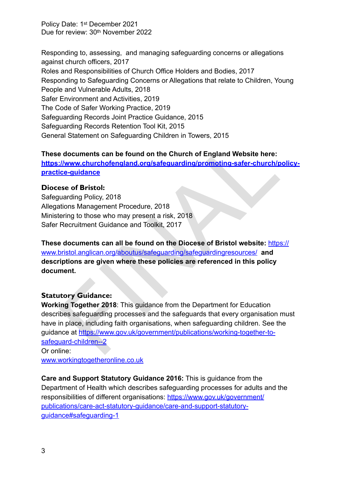Responding to, assessing, and managing safeguarding concerns or allegations against church officers, 2017 Roles and Responsibilities of Church Office Holders and Bodies, 2017 Responding to Safeguarding Concerns or Allegations that relate to Children, Young People and Vulnerable Adults, 2018 Safer Environment and Activities, 2019 The Code of Safer Working Practice, 2019 Safeguarding Records Joint Practice Guidance, 2015 Safeguarding Records Retention Tool Kit, 2015 General Statement on Safeguarding Children in Towers, 2015

**These documents can be found on the Church of England Website here: https://www.churchofengland.org/safeguarding/promoting-safer-church/policy[practice-guidance](https://www.churchofengland.org/safeguarding/promoting-safer-church/policy-practice-guidance)** 

#### <span id="page-2-0"></span>**Diocese of Bristol:**

Safeguarding Policy, 2018 Allegations Management Procedure, 2018 Ministering to those who may present a risk, 2018 Safer Recruitment Guidance and Toolkit, 2017

**These documents can all be found on the Diocese of Bristol website:** [https://](https://www.bristol.anglican.org/aboutus/safeguarding/safeguardingresources/) www.bristol.anglican.org/aboutus/safeguarding/safeguardingresources/ **and descriptions are given where these policies are referenced in this policy document.** 

#### <span id="page-2-1"></span>**Statutory Guidance:**

ral Statement on Safeguarding Children in Towers, 2015<br> **e documents can be found on the Church of England Website here:**<br>
<u>I/www.churchofengland.org/safeguarding/promoting-safer-church/p<br>
ice-guidance</u><br>
see of Bristol:<br>
u **Working Together 2018**: This guidance from the Department for Education describes safeguarding processes and the safeguards that every organisation must have in place, including faith organisations, when safeguarding children. See the guidance at https://www.gov.uk/government/publications/working-together-to[safeguard-children--2](https://www.gov.uk/government/publications/working-together-to-safeguard-children--2) Or online:

[www.workingtogetheronline.co.uk](http://www.workingtogetheronline.co.uk)

**Care and Support Statutory Guidance 2016:** This is guidance from the Department of Health which describes safeguarding processes for adults and the responsibilities of different organisations: [https://www.gov.uk/government/](https://www.gov.uk/government/publications/care-act-statutory-guidance/care-and-support-statutory-guidance#safeguarding-1) [publications/care-act-statutory-guidance/care-and-support-statutory](https://www.gov.uk/government/publications/care-act-statutory-guidance/care-and-support-statutory-guidance#safeguarding-1)[guidance#safeguarding-1](https://www.gov.uk/government/publications/care-act-statutory-guidance/care-and-support-statutory-guidance#safeguarding-1)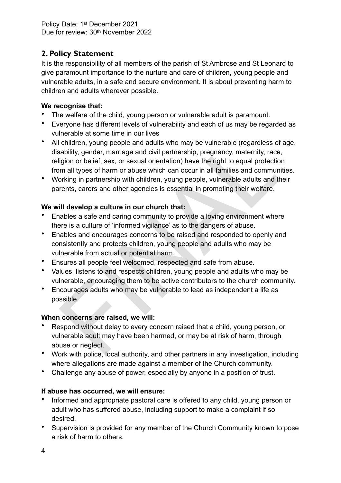# <span id="page-3-0"></span>**2. Policy Statement**

It is the responsibility of all members of the parish of St Ambrose and St Leonard to give paramount importance to the nurture and care of children, young people and vulnerable adults, in a safe and secure environment. It is about preventing harm to children and adults wherever possible.

#### **We recognise that:**

- The welfare of the child, young person or vulnerable adult is paramount.
- Everyone has different levels of vulnerability and each of us may be regarded as vulnerable at some time in our lives
- in et aue some universed and dults who may be vulnerable (regardless of children, young people and dults who may be vulnerable (regardless of ability, gender, marriage and civil partnership, pregnancy, maternity, race<br>igio • All children, young people and adults who may be vulnerable (regardless of age, disability, gender, marriage and civil partnership, pregnancy, maternity, race, religion or belief, sex, or sexual orientation) have the right to equal protection from all types of harm or abuse which can occur in all families and communities.
- Working in partnership with children, young people, vulnerable adults and their parents, carers and other agencies is essential in promoting their welfare.

## **We will develop a culture in our church that:**

- Enables a safe and caring community to provide a loving environment where there is a culture of 'informed vigilance' as to the dangers of abuse.
- Enables and encourages concerns to be raised and responded to openly and consistently and protects children, young people and adults who may be vulnerable from actual or potential harm.
- Ensures all people feel welcomed, respected and safe from abuse.
- Values, listens to and respects children, young people and adults who may be vulnerable, encouraging them to be active contributors to the church community.
- Encourages adults who may be vulnerable to lead as independent a life as possible.

## **When concerns are raised, we will:**

- Respond without delay to every concern raised that a child, young person, or vulnerable adult may have been harmed, or may be at risk of harm, through abuse or neglect.
- Work with police, local authority, and other partners in any investigation, including where allegations are made against a member of the Church community.
- Challenge any abuse of power, especially by anyone in a position of trust.

## **If abuse has occurred, we will ensure:**

- Informed and appropriate pastoral care is offered to any child, young person or adult who has suffered abuse, including support to make a complaint if so desired.
- Supervision is provided for any member of the Church Community known to pose a risk of harm to others.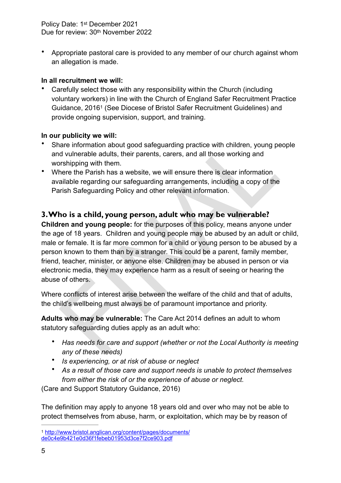• Appropriate pastoral care is provided to any member of our church against whom an allegation is made.

#### **In all recruitment we will:**

<span id="page-4-2"></span>• Carefully select those with any responsibility within the Church (including voluntary workers) in line with the Church of England Safer Recruitment Practice Guidance, 2016<sup>1</sup> (See Diocese of Bristol Safer Recruitment Guidelines) and provide ongoing supervision, support, and training.

#### **In our publicity we will:**

- Share information about good safeguarding practice with children, young people and vulnerable adults, their parents, carers, and all those working and worshipping with them.
- Where the Parish has a website, we will ensure there is clear information available regarding our safeguarding arrangements, including a copy of the Parish Safeguarding Policy and other relevant information.

#### <span id="page-4-0"></span>**3. Who is a child, young person, adult who may be vulnerable?**

**Publicity we will:**<br>The dimension about good safeguarding practice with children, young pare<br>at outlnerable adults, their parents, carers, and all those working and<br>prisipping with them.<br>There the Parish has a website, we **Children and young people:** for the purposes of this policy, means anyone under the age of 18 years. Children and young people may be abused by an adult or child, male or female. It is far more common for a child or young person to be abused by a person known to them than by a stranger. This could be a parent, family member, friend, teacher, minister, or anyone else. Children may be abused in person or via electronic media, they may experience harm as a result of seeing or hearing the abuse of others.

Where conflicts of interest arise between the welfare of the child and that of adults, the child's wellbeing must always be of paramount importance and priority.

**Adults who may be vulnerable:** The Care Act 2014 defines an adult to whom statutory safeguarding duties apply as an adult who:

- *Has needs for care and support (whether or not the Local Authority is meeting any of these needs)*
- *Is experiencing, or at risk of abuse or neglect*
- *As a result of those care and support needs is unable to protect themselves from either the risk of or the experience of abuse or neglect.*

(Care and Support Statutory Guidance, 2016)

The definition may apply to anyone 18 years old and over who may not be able to protect themselves from abuse, harm, or exploitation, which may be by reason of

<span id="page-4-1"></span>[http://www.bristol.anglican.org/content/pages/documents/](http://www.bristol.anglican.org/content/pages/documents/de0c4e9b421e0d36f1febeb01953d3ce7f2ce903.pdf) [1](#page-4-2) [de0c4e9b421e0d36f1febeb01953d3ce7f2ce903.pdf](http://www.bristol.anglican.org/content/pages/documents/de0c4e9b421e0d36f1febeb01953d3ce7f2ce903.pdf)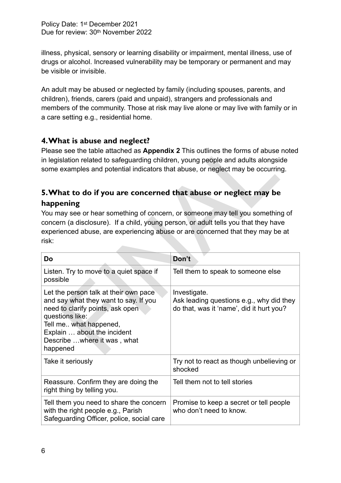illness, physical, sensory or learning disability or impairment, mental illness, use of drugs or alcohol. Increased vulnerability may be temporary or permanent and may be visible or invisible.

An adult may be abused or neglected by family (including spouses, parents, and children), friends, carers (paid and unpaid), strangers and professionals and members of the community. Those at risk may live alone or may live with family or in a care setting e.g., residential home.

## <span id="page-5-0"></span>**4. What is abuse and neglect?**

## <span id="page-5-1"></span>**5. What to do if you are concerned that abuse or neglect may be happening**

| 4. What is abuse and neglect?<br>Please see the table attached as Appendix 2 This outlines the forms of abuse noted<br>in legislation related to safeguarding children, young people and adults alongside<br>some examples and potential indicators that abuse, or neglect may be occurring.                                                     |                                                                                                      |  |  |
|--------------------------------------------------------------------------------------------------------------------------------------------------------------------------------------------------------------------------------------------------------------------------------------------------------------------------------------------------|------------------------------------------------------------------------------------------------------|--|--|
| 5. What to do if you are concerned that abuse or neglect may be<br>happening<br>You may see or hear something of concern, or someone may tell you something of<br>concern (a disclosure). If a child, young person, or adult tells you that they have<br>experienced abuse, are experiencing abuse or are concerned that they may be at<br>risk: |                                                                                                      |  |  |
| Do                                                                                                                                                                                                                                                                                                                                               | Don't                                                                                                |  |  |
| Listen. Try to move to a quiet space if<br>possible                                                                                                                                                                                                                                                                                              | Tell them to speak to someone else                                                                   |  |  |
| Let the person talk at their own pace<br>and say what they want to say. If you<br>need to clarify points, ask open<br>questions like:<br>Tell me what happened,<br>Explain  about the incident<br>Describe  where it was, what<br>happened                                                                                                       | Investigate.<br>Ask leading questions e.g., why did they<br>do that, was it 'name', did it hurt you? |  |  |
| Take it seriously                                                                                                                                                                                                                                                                                                                                | Try not to react as though unbelieving or<br>shocked                                                 |  |  |
| Reassure. Confirm they are doing the<br>right thing by telling you.                                                                                                                                                                                                                                                                              | Tell them not to tell stories                                                                        |  |  |
| Tell them you need to share the concern<br>with the right people e.g., Parish<br>Safeguarding Officer, police, social care                                                                                                                                                                                                                       | Promise to keep a secret or tell people<br>who don't need to know.                                   |  |  |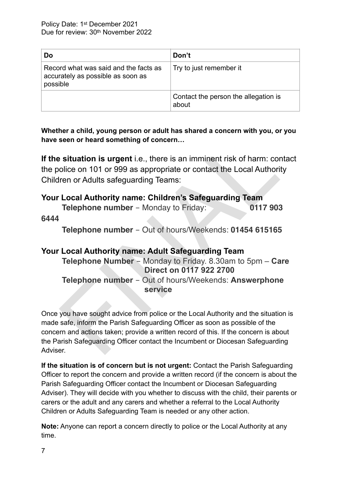| Do                                                                                     | Don't                                         |
|----------------------------------------------------------------------------------------|-----------------------------------------------|
| Record what was said and the facts as<br>accurately as possible as soon as<br>possible | Try to just remember it                       |
|                                                                                        | Contact the person the allegation is<br>about |

**Whether a child, young person or adult has shared a concern with you, or you have seen or heard something of concern…** 

**If the situation is urgent** i.e., there is an imminent risk of harm: contact the police on 101 or 999 as appropriate or contact the Local Authority Children or Adults safeguarding Teams:

## **Your Local Authority name: Children's Safeguarding Team**

|      | <b>Telephone number</b> – Monday to Friday: |  | 0117 903 |
|------|---------------------------------------------|--|----------|
| 6444 |                                             |  |          |

**Telephone number** - Out of hours/Weekends: **01454 615165**

# seen or heard something of concern...<br>
situation is urgent i.e., there is an imminent risk of harm: corolice on 101 or 999 as appropriate or contact the Local Authori<br>
ren or Adults safeguarding Teams:<br>
Local Authority nam **Your Local Authority name: Adult Safeguarding Team Telephone Number** - Monday to Friday. 8.30am to 5pm – **Care Direct on 0117 922 2700 Telephone number** - Out of hours/Weekends: **Answerphone service**

Once you have sought advice from police or the Local Authority and the situation is made safe, inform the Parish Safeguarding Officer as soon as possible of the concern and actions taken; provide a written record of this. If the concern is about the Parish Safeguarding Officer contact the Incumbent or Diocesan Safeguarding Adviser.

**If the situation is of concern but is not urgent:** Contact the Parish Safeguarding Officer to report the concern and provide a written record (if the concern is about the Parish Safeguarding Officer contact the Incumbent or Diocesan Safeguarding Adviser). They will decide with you whether to discuss with the child, their parents or carers or the adult and any carers and whether a referral to the Local Authority Children or Adults Safeguarding Team is needed or any other action.

**Note:** Anyone can report a concern directly to police or the Local Authority at any time.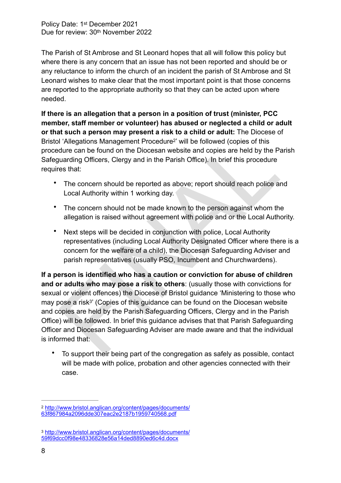The Parish of St Ambrose and St Leonard hopes that all will follow this policy but where there is any concern that an issue has not been reported and should be or any reluctance to inform the church of an incident the parish of St Ambrose and St Leonard wishes to make clear that the most important point is that those concerns are reported to the appropriate authority so that they can be acted upon where needed.

**If there is an allegation that a person in a position of trust (minister, PCC member, staff member or volunteer) has abused or neglected a child or adult or that such a person may present a risk to a child or adult:** The Diocese of Bristol 'Allegations Management Procedure<sup>2</sup>' will be followed (copies of this procedure can be found on the Diocesan website and copies are held by the Parish Safeguarding Officers, Clergy and in the Parish Office). In brief this procedure requires that:

- <span id="page-7-2"></span>The concern should be reported as above; report should reach police and Local Authority within 1 working day.
- The concern should not be made known to the person against whom the allegation is raised without agreement with police and or the Local Authority.
- Next steps will be decided in conjunction with police, Local Authority representatives (including Local Authority Designated Officer where there is a concern for the welfare of a child), the Diocesan Safeguarding Adviser and parish representatives (usually PSO, Incumbent and Churchwardens).

To determine the concerning procedure and the concerned and the Branch and the Parish Calcular The solutions Management Procedure<sup>2</sup> will be followed (copies of this dure can be found on the Diocesan website and copies ar **If a person is identified who has a caution or conviction for abuse of children and or adults who may pose a risk to others**: (usually those with convictions for sexual or violent offences) the Diocese of Bristol guidance 'Ministering to those who may pose a risk<sup>3</sup>' (Copies of this guidance can be found on the Diocesan website and copies are held by the Parish Safeguarding Officers, Clergy and in the Parish Office) will be followed. In brief this guidance advises that that Parish Safeguarding Officer and Diocesan Safeguarding Adviser are made aware and that the individual is informed that:

<span id="page-7-3"></span>• To support their being part of the congregation as safely as possible, contact will be made with police, probation and other agencies connected with their case.

<span id="page-7-0"></span><sup>&</sup>lt;sup>2</sup> [http://www.bristol.anglican.org/content/pages/documents/](http://www.bristol.anglican.org/content/pages/documents/63f867984a2096dde307eac2e2187b1959740568.pdf) [63f867984a2096dde307eac2e2187b1959740568.pdf](http://www.bristol.anglican.org/content/pages/documents/63f867984a2096dde307eac2e2187b1959740568.pdf)

<span id="page-7-1"></span>[http://www.bristol.anglican.org/content/pages/documents/](http://www.bristol.anglican.org/content/pages/documents/59f69dcc0f98e48336828e56a14ded8890ed6c4d.docx) [3](#page-7-3) [59f69dcc0f98e48336828e56a14ded8890ed6c4d.docx](http://www.bristol.anglican.org/content/pages/documents/59f69dcc0f98e48336828e56a14ded8890ed6c4d.docx)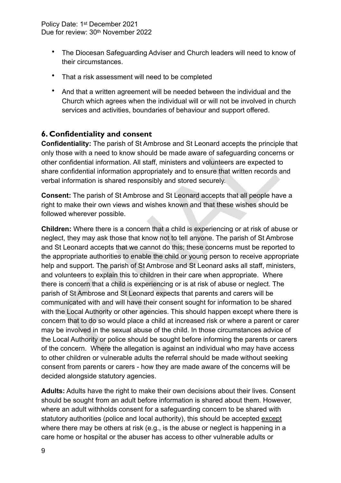- The Diocesan Safeguarding Adviser and Church leaders will need to know of their circumstances.
- That a risk assessment will need to be completed
- And that a written agreement will be needed between the individual and the Church which agrees when the individual will or will not be involved in church services and activities, boundaries of behaviour and support offered.

## <span id="page-8-0"></span>**6. Confidentiality and consent**

**Confidentiality:** The parish of St Ambrose and St Leonard accepts the principle that only those with a need to know should be made aware of safeguarding concerns or other confidential information. All staff, ministers and volunteers are expected to share confidential information appropriately and to ensure that written records and verbal information is shared responsibly and stored securely.

**Consent:** The parish of St Ambrose and St Leonard accepts that all people have a right to make their own views and wishes known and that these wishes should be followed wherever possible.

**dentiality:** The parish of St Ambrose and St Leonard accepts the principle dentiality: The parish of St Ambrose and St Leonard accepts the principl<br>nose with a need to know should be made aware of safeguarding concerr<br>con **Children:** Where there is a concern that a child is experiencing or at risk of abuse or neglect, they may ask those that know not to tell anyone. The parish of St Ambrose and St Leonard accepts that we cannot do this; these concerns must be reported to the appropriate authorities to enable the child or young person to receive appropriate help and support. The parish of St Ambrose and St Leonard asks all staff, ministers, and volunteers to explain this to children in their care when appropriate. Where there is concern that a child is experiencing or is at risk of abuse or neglect. The parish of St Ambrose and St Leonard expects that parents and carers will be communicated with and will have their consent sought for information to be shared with the Local Authority or other agencies. This should happen except where there is concern that to do so would place a child at increased risk or where a parent or carer may be involved in the sexual abuse of the child. In those circumstances advice of the Local Authority or police should be sought before informing the parents or carers of the concern. Where the allegation is against an individual who may have access to other children or vulnerable adults the referral should be made without seeking consent from parents or carers - how they are made aware of the concerns will be decided alongside statutory agencies.

**Adults:** Adults have the right to make their own decisions about their lives. Consent should be sought from an adult before information is shared about them. However, where an adult withholds consent for a safeguarding concern to be shared with statutory authorities (police and local authority), this should be accepted except where there may be others at risk (e.g., is the abuse or neglect is happening in a care home or hospital or the abuser has access to other vulnerable adults or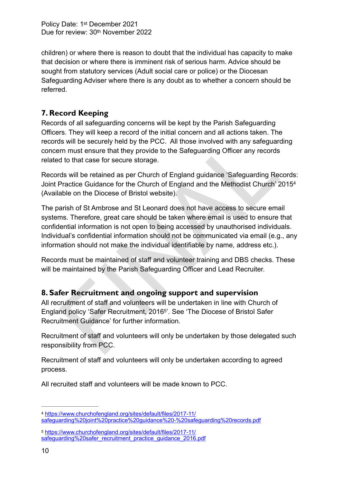children) or where there is reason to doubt that the individual has capacity to make that decision or where there is imminent risk of serious harm. Advice should be sought from statutory services (Adult social care or police) or the Diocesan Safeguarding Adviser where there is any doubt as to whether a concern should be referred.

# <span id="page-9-0"></span>**7. Record Keeping**

Records of all safeguarding concerns will be kept by the Parish Safeguarding Officers. They will keep a record of the initial concern and all actions taken. The records will be securely held by the PCC. All those involved with any safeguarding concern must ensure that they provide to the Safeguarding Officer any records related to that case for secure storage.

<span id="page-9-4"></span>Records will be retained as per Church of England guidance 'Safeguarding Records: Joint Practice Guidance for the Church of England and the Methodist Church' 2015[4](#page-9-2) (Available on the Diocese of Bristol website).

Fig. The method of the Pacifical information and content and content and content. The Recently free Basebary in the method of that case for secure storage.<br>The Sixtem provide to the Safeguarding Officer any records to that The parish of St Ambrose and St Leonard does not have access to secure email systems. Therefore, great care should be taken where email is used to ensure that confidential information is not open to being accessed by unauthorised individuals. Individual's confidential information should not be communicated via email (e.g., any information should not make the individual identifiable by name, address etc.).

Records must be maintained of staff and volunteer training and DBS checks. These will be maintained by the Parish Safeguarding Officer and Lead Recruiter.

## <span id="page-9-1"></span>**8. Safer Recruitment and ongoing support and supervision**

<span id="page-9-5"></span>All recruitment of staff and volunteers will be undertaken in line with Church of England policy 'Safer Recruitment, 2016<sup>5</sup>'. See 'The Diocese of Bristol Safer Recruitment Guidance' for further information.

Recruitment of staff and volunteers will only be undertaken by those delegated such responsibility from PCC.

Recruitment of staff and volunteers will only be undertaken according to agreed process.

All recruited staff and volunteers will be made known to PCC.

<span id="page-9-2"></span>[https://www.churchofengland.org/sites/default/files/2017-11/](https://www.churchofengland.org/sites/default/files/2017-11/safeguarding%2520joint%2520practice%2520guidance%2520-%2520safeguarding%2520records.pdf) [4](#page-9-4) [safeguarding%20joint%20practice%20guidance%20-%20safeguarding%20records.pdf](https://www.churchofengland.org/sites/default/files/2017-11/safeguarding%2520joint%2520practice%2520guidance%2520-%2520safeguarding%2520records.pdf)

<span id="page-9-3"></span>[https://www.churchofengland.org/sites/default/files/2017-11/](https://www.churchofengland.org/sites/default/files/2017-11/safeguarding%2520safer_recruitment_practice_guidance_2016.pdf) [5](#page-9-5) [safeguarding%20safer\\_recruitment\\_practice\\_guidance\\_2016.pdf](https://www.churchofengland.org/sites/default/files/2017-11/safeguarding%2520safer_recruitment_practice_guidance_2016.pdf)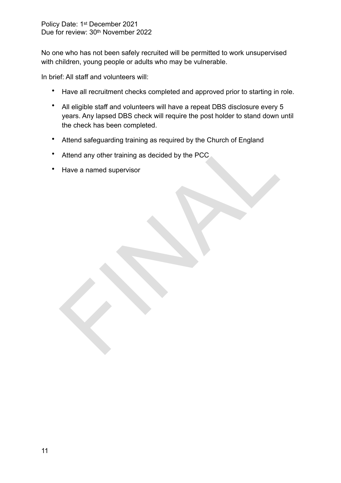No one who has not been safely recruited will be permitted to work unsupervised with children, young people or adults who may be vulnerable.

In brief: All staff and volunteers will:

- Have all recruitment checks completed and approved prior to starting in role.
- All eligible staff and volunteers will have a repeat DBS disclosure every 5 years. Any lapsed DBS check will require the post holder to stand down until the check has been completed.
- Attend safeguarding training as required by the Church of England<br>Attend any other training as decided by the PCC<br>Have a named supervisor • Attend safeguarding training as required by the Church of England
- Attend any other training as decided by the PCC
- Have a named supervisor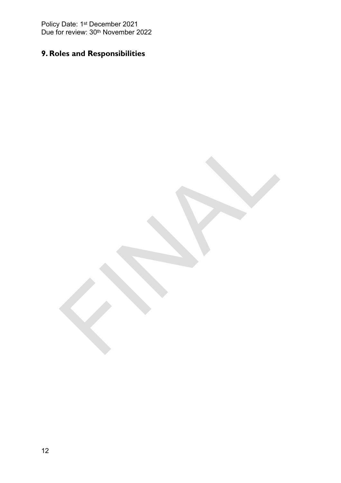# <span id="page-11-0"></span>**9. Roles and Responsibilities**

FINAL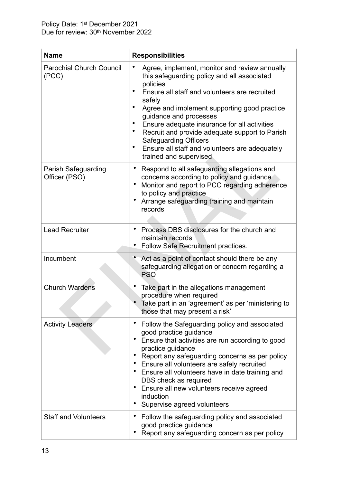| <b>Name</b>                                 | <b>Responsibilities</b>                                                                                                                                                                                                                                                                                                                                                                                                                                                              |
|---------------------------------------------|--------------------------------------------------------------------------------------------------------------------------------------------------------------------------------------------------------------------------------------------------------------------------------------------------------------------------------------------------------------------------------------------------------------------------------------------------------------------------------------|
| <b>Parochial Church Council</b><br>(PCC)    | Agree, implement, monitor and review annually<br>٠<br>this safeguarding policy and all associated<br>policies<br>Ensure all staff and volunteers are recruited<br>٠<br>safely<br>Agree and implement supporting good practice<br>guidance and processes<br>Ensure adequate insurance for all activities<br>٠<br>Recruit and provide adequate support to Parish<br>٠<br><b>Safeguarding Officers</b><br>Ensure all staff and volunteers are adequately<br>٠<br>trained and supervised |
| <b>Parish Safeguarding</b><br>Officer (PSO) | Respond to all safeguarding allegations and<br>$\bullet$<br>concerns according to policy and guidance<br>Monitor and report to PCC regarding adherence<br>$\bullet$<br>to policy and practice<br>Arrange safeguarding training and maintain<br>٠<br>records                                                                                                                                                                                                                          |
| <b>Lead Recruiter</b>                       | Process DBS disclosures for the church and<br>٠<br>maintain records<br>Follow Safe Recruitment practices.                                                                                                                                                                                                                                                                                                                                                                            |
| Incumbent                                   | Act as a point of contact should there be any<br>safeguarding allegation or concern regarding a<br><b>PSO</b>                                                                                                                                                                                                                                                                                                                                                                        |
| <b>Church Wardens</b>                       | Take part in the allegations management<br>procedure when required<br>Take part in an 'agreement' as per 'ministering to<br>those that may present a risk'                                                                                                                                                                                                                                                                                                                           |
| <b>Activity Leaders</b>                     | Follow the Safeguarding policy and associated<br>good practice guidance<br>٠<br>Ensure that activities are run according to good<br>practice guidance<br>Report any safeguarding concerns as per policy<br>Ensure all volunteers are safely recruited<br>$\bullet$<br>Ensure all volunteers have in date training and<br>$\bullet$<br>DBS check as required<br>Ensure all new volunteers receive agreed<br>$\bullet$<br>induction<br>Supervise agreed volunteers                     |
| <b>Staff and Volunteers</b>                 | Follow the safeguarding policy and associated<br>$\bullet$<br>good practice guidance<br>Report any safeguarding concern as per policy                                                                                                                                                                                                                                                                                                                                                |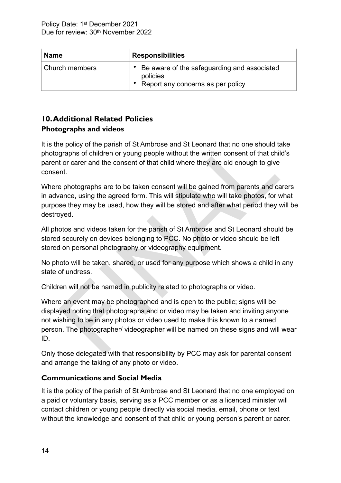| <b>Name</b>    | <b>Responsibilities</b>                                                                      |  |  |
|----------------|----------------------------------------------------------------------------------------------|--|--|
| Church members | Be aware of the safeguarding and associated<br>policies<br>Report any concerns as per policy |  |  |

#### <span id="page-13-0"></span>**10. Additional Related Policies Photographs and videos**

It is the policy of the parish of St Ambrose and St Leonard that no one should take photographs of children or young people without the written consent of that child's parent or carer and the consent of that child where they are old enough to give consent.

Where photographs are to be taken consent will be gained from parents and carers in advance, using the agreed form. This will stipulate who will take photos, for what purpose they may be used, how they will be stored and after what period they will be destroyed.

All photos and videos taken for the parish of St Ambrose and St Leonard should be stored securely on devices belonging to PCC. No photo or video should be left stored on personal photography or videography equipment.

No photo will be taken, shared, or used for any purpose which shows a child in any state of undress.

Children will not be named in publicity related to photographs or video.

e policy of the parish of St Ambrose and St Leonard that no one should to<br>graphs of children or young people without the written consent of that chil<br>tor carer and the consent of that child where they are old enough to giv Where an event may be photographed and is open to the public; signs will be displayed noting that photographs and or video may be taken and inviting anyone not wishing to be in any photos or video used to make this known to a named person. The photographer/ videographer will be named on these signs and will wear ID.

Only those delegated with that responsibility by PCC may ask for parental consent and arrange the taking of any photo or video.

#### **Communications and Social Media**

It is the policy of the parish of St Ambrose and St Leonard that no one employed on a paid or voluntary basis, serving as a PCC member or as a licenced minister will contact children or young people directly via social media, email, phone or text without the knowledge and consent of that child or young person's parent or carer.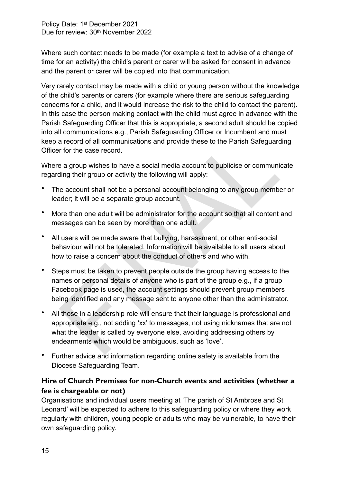Where such contact needs to be made (for example a text to advise of a change of time for an activity) the child's parent or carer will be asked for consent in advance and the parent or carer will be copied into that communication.

Very rarely contact may be made with a child or young person without the knowledge of the child's parents or carers (for example where there are serious safeguarding concerns for a child, and it would increase the risk to the child to contact the parent). In this case the person making contact with the child must agree in advance with the Parish Safeguarding Officer that this is appropriate, a second adult should be copied into all communications e.g., Parish Safeguarding Officer or Incumbent and must keep a record of all communications and provide these to the Parish Safeguarding Officer for the case record.

Where a group wishes to have a social media account to publicise or communicate regarding their group or activity the following will apply:

- The account shall not be a personal account belonging to any group member or leader; it will be a separate group account.
- More than one adult will be administrator for the account so that all content and messages can be seen by more than one adult.
- All users will be made aware that bullying, harassment, or other anti-social behaviour will not be tolerated. Information will be available to all users about how to raise a concern about the conduct of others and who with.
- is of the case of the case of the case of the case of the case of the case is a record of all communications and provide these to the Parish Safeguard<br>Final and the case record.<br>The case record of all communications and pr • Steps must be taken to prevent people outside the group having access to the names or personal details of anyone who is part of the group e.g., if a group Facebook page is used, the account settings should prevent group members being identified and any message sent to anyone other than the administrator.
- All those in a leadership role will ensure that their language is professional and appropriate e.g., not adding 'xx' to messages, not using nicknames that are not what the leader is called by everyone else, avoiding addressing others by endearments which would be ambiguous, such as 'love'.
- Further advice and information regarding online safety is available from the Diocese Safeguarding Team.

#### <span id="page-14-0"></span>**Hire of Church Premises for non-Church events and activities (whether a fee is chargeable or not)**

Organisations and individual users meeting at 'The parish of St Ambrose and St Leonard' will be expected to adhere to this safeguarding policy or where they work regularly with children, young people or adults who may be vulnerable, to have their own safeguarding policy.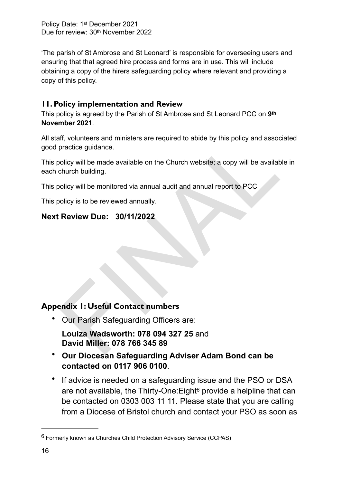'The parish of St Ambrose and St Leonard' is responsible for overseeing users and ensuring that that agreed hire process and forms are in use. This will include obtaining a copy of the hirers safeguarding policy where relevant and providing a copy of this policy.

## <span id="page-15-0"></span>**11. Policy implementation and Review**

This policy is agreed by the Parish of St Ambrose and St Leonard PCC on **9th November 2021**.

All staff, volunteers and ministers are required to abide by this policy and associated good practice guidance.

ff, volunteers and ministers are required to abide by this policy and assoc<br>practice guidance.<br>olicy will be made available on the Church website; a copy will be available<br>church building.<br>olicy will be monitored via annua This policy will be made available on the Church website; a copy will be available in each church building.

This policy will be monitored via annual audit and annual report to PCC

This policy is to be reviewed annually.

# **Next Review Due: 30/11/2022**

# <span id="page-15-1"></span>**Appendix 1: Useful Contact numbers**

- Our Parish Safeguarding Officers are:
- **Louiza Wadsworth: 078 094 327 25** and **David Miller: 078 766 345 89**
- **Our Diocesan Safeguarding Adviser Adam Bond can be contacted on 0117 906 0100**.
- <span id="page-15-3"></span>• If advice is needed on a safeguarding issue and the PSO or DSA are no[t](#page-15-2) available, the Thirty-One: Eight<sup> $6$ </sup> provide a helpline that can be contacted on 0303 003 11 11. Please state that you are calling from a Diocese of Bristol church and contact your PSO as soon as

<span id="page-15-2"></span> $6$  Formerly known as Churches Child Protection Advisory Service (CCPAS)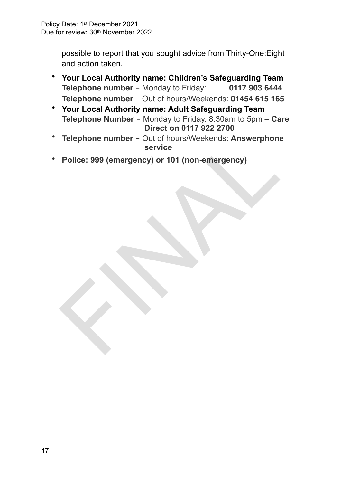possible to report that you sought advice from Thirty-One:Eight and action taken.

- **Your Local Authority name: Children's Safeguarding Team Telephone number** - Monday to Friday: **0117 903 6444 Telephone number** - Out of hours/Weekends: **01454 615 165**
- **Your Local Authority name: Adult Safeguarding Team Telephone Number** - Monday to Friday. 8.30am to 5pm – **Care Direct on 0117 922 2700**
- Telephone number Out of hours/Weekends: Answerphone<br>service<br>Police: 999 (emergency) or 101 (non-emergency)<br> $\frac{1}{2}$ • **Telephone number** - Out of hours/Weekends: **Answerphone service**
- **Police: 999 (emergency) or 101 (non-emergency)**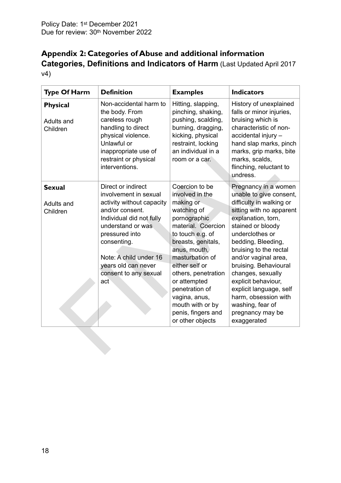# <span id="page-17-0"></span>**Appendix 2: Categories of Abuse and additional information Categories, Definitions and Indicators of Harm** (Last Updated April 2017 v4)

| Non-accidental harm to<br>History of unexplained<br>Hitting, slapping,<br><b>Physical</b><br>pinching, shaking,<br>falls or minor injuries,<br>the body. From<br>careless rough<br>pushing, scalding,<br>bruising which is<br>Adults and<br>handling to direct<br>burning, dragging,<br>characteristic of non-<br>Children<br>physical violence.<br>kicking, physical<br>accidental injury -<br>Unlawful or<br>restraint, locking<br>hand slap marks, pinch<br>an individual in a<br>inappropriate use of<br>marks, grip marks, bite<br>restraint or physical<br>marks, scalds,<br>room or a car.<br>interventions.<br>flinching, reluctant to<br>undress.<br>Direct or indirect<br>Coercion to be<br>Pregnancy in a women<br><b>Sexual</b><br>unable to give consent,<br>involvement in sexual<br>involved in the<br>activity without capacity<br>making or<br>difficulty in walking or<br>Adults and<br>and/or consent.<br>watching of<br>sitting with no apparent<br>Children<br>pornographic<br>explanation, torn,<br>Individual did not fully<br>material. Coercion<br>understand or was<br>stained or bloody<br>underclothes or<br>pressured into<br>to touch e.g. of<br>breasts, genitals,<br>bedding, Bleeding,<br>consenting.<br>anus, mouth,<br>bruising to the rectal<br>masturbation of<br>Note: A child under 16<br>and/or vaginal area,<br>either self or<br>bruising. Behavioural<br>years old can never<br>changes, sexually<br>consent to any sexual<br>others, penetration<br>or attempted<br>explicit behaviour,<br>act<br>penetration of<br>explicit language, self<br>harm, obsession with<br>vagina, anus,<br>mouth with or by<br>washing, fear of<br>penis, fingers and<br>pregnancy may be<br>or other objects<br>exaggerated | <b>Type Of Harm</b> | <b>Definition</b> | <b>Examples</b> | <b>Indicators</b> |
|-------------------------------------------------------------------------------------------------------------------------------------------------------------------------------------------------------------------------------------------------------------------------------------------------------------------------------------------------------------------------------------------------------------------------------------------------------------------------------------------------------------------------------------------------------------------------------------------------------------------------------------------------------------------------------------------------------------------------------------------------------------------------------------------------------------------------------------------------------------------------------------------------------------------------------------------------------------------------------------------------------------------------------------------------------------------------------------------------------------------------------------------------------------------------------------------------------------------------------------------------------------------------------------------------------------------------------------------------------------------------------------------------------------------------------------------------------------------------------------------------------------------------------------------------------------------------------------------------------------------------------------------------------------------------------------------------------------------------------------------------------|---------------------|-------------------|-----------------|-------------------|
|                                                                                                                                                                                                                                                                                                                                                                                                                                                                                                                                                                                                                                                                                                                                                                                                                                                                                                                                                                                                                                                                                                                                                                                                                                                                                                                                                                                                                                                                                                                                                                                                                                                                                                                                                       |                     |                   |                 |                   |
|                                                                                                                                                                                                                                                                                                                                                                                                                                                                                                                                                                                                                                                                                                                                                                                                                                                                                                                                                                                                                                                                                                                                                                                                                                                                                                                                                                                                                                                                                                                                                                                                                                                                                                                                                       |                     |                   |                 |                   |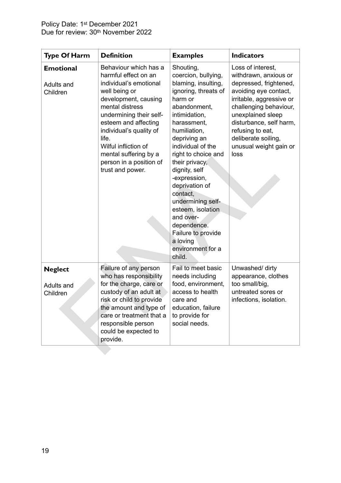| <b>Type Of Harm</b>                        | <b>Definition</b>                                                                                                                                                                                                                                                                                                          | <b>Examples</b>                                                                                                                                                                                                                                                                                                                                                                                                                                | <b>Indicators</b>                                                                                                                                                                                                                                                                |
|--------------------------------------------|----------------------------------------------------------------------------------------------------------------------------------------------------------------------------------------------------------------------------------------------------------------------------------------------------------------------------|------------------------------------------------------------------------------------------------------------------------------------------------------------------------------------------------------------------------------------------------------------------------------------------------------------------------------------------------------------------------------------------------------------------------------------------------|----------------------------------------------------------------------------------------------------------------------------------------------------------------------------------------------------------------------------------------------------------------------------------|
| <b>Emotional</b><br>Adults and<br>Children | Behaviour which has a<br>harmful effect on an<br>individual's emotional<br>well being or<br>development, causing<br>mental distress<br>undermining their self-<br>esteem and affecting<br>individual's quality of<br>life.<br>Wilful infliction of<br>mental suffering by a<br>person in a position of<br>trust and power. | Shouting,<br>coercion, bullying,<br>blaming, insulting,<br>ignoring, threats of<br>harm or<br>abandonment,<br>intimidation,<br>harassment,<br>humiliation,<br>depriving an<br>individual of the<br>right to choice and<br>their privacy,<br>dignity, self<br>-expression,<br>deprivation of<br>contact,<br>undermining self-<br>esteem, isolation<br>and over-<br>dependence.<br>Failure to provide<br>a loving<br>environment for a<br>child. | Loss of interest,<br>withdrawn, anxious or<br>depressed, frightened,<br>avoiding eye contact,<br>irritable, aggressive or<br>challenging behaviour,<br>unexplained sleep<br>disturbance, self harm,<br>refusing to eat,<br>deliberate soiling,<br>unusual weight gain or<br>loss |
| <b>Neglect</b><br>Adults and<br>Children   | Failure of any person<br>who has responsibility<br>for the charge, care or<br>custody of an adult at<br>risk or child to provide<br>the amount and type of<br>care or treatment that a<br>responsible person<br>could be expected to<br>provide.                                                                           | Fail to meet basic<br>needs including<br>food, environment,<br>access to health<br>care and<br>education, failure<br>to provide for<br>social needs.                                                                                                                                                                                                                                                                                           | Unwashed/ dirty<br>appearance, clothes<br>too small/big,<br>untreated sores or<br>infections, isolation.                                                                                                                                                                         |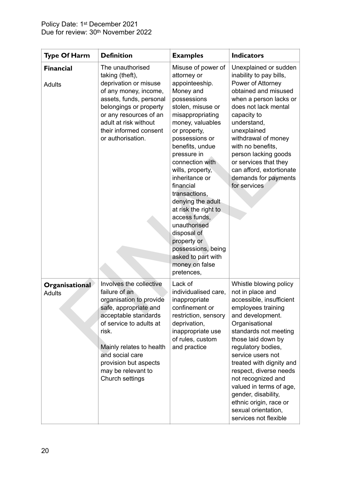| <b>Type Of Harm</b>             | <b>Definition</b>                                                                                                                                                                                                                                                         | <b>Examples</b>                                                                                                                                                                                                                                                                                                                                                                                                                                                                                 | <b>Indicators</b>                                                                                                                                                                                                                                                                                                                                                                                                                    |
|---------------------------------|---------------------------------------------------------------------------------------------------------------------------------------------------------------------------------------------------------------------------------------------------------------------------|-------------------------------------------------------------------------------------------------------------------------------------------------------------------------------------------------------------------------------------------------------------------------------------------------------------------------------------------------------------------------------------------------------------------------------------------------------------------------------------------------|--------------------------------------------------------------------------------------------------------------------------------------------------------------------------------------------------------------------------------------------------------------------------------------------------------------------------------------------------------------------------------------------------------------------------------------|
| <b>Financial</b><br>Adults      | The unauthorised<br>taking (theft),<br>deprivation or misuse<br>of any money, income,<br>assets, funds, personal<br>belongings or property<br>or any resources of an<br>adult at risk without<br>their informed consent<br>or authorisation.                              | Misuse of power of<br>attorney or<br>appointeeship.<br>Money and<br>possessions<br>stolen, misuse or<br>misappropriating<br>money, valuables<br>or property,<br>possessions or<br>benefits, undue<br>pressure in<br>connection with<br>wills, property,<br>inheritance or<br>financial<br>transactions,<br>denying the adult<br>at risk the right to<br>access funds,<br>unauthorised<br>disposal of<br>property or<br>possessions, being<br>asked to part with<br>money on false<br>pretences, | Unexplained or sudden<br>inability to pay bills,<br>Power of Attorney<br>obtained and misused<br>when a person lacks or<br>does not lack mental<br>capacity to<br>understand,<br>unexplained<br>withdrawal of money<br>with no benefits,<br>person lacking goods<br>or services that they<br>can afford, extortionate<br>demands for payments<br>for services                                                                        |
| Organisational<br><b>Adults</b> | Involves the collective<br>failure of an<br>organisation to provide<br>safe, appropriate and<br>acceptable standards<br>of service to adults at<br>risk.<br>Mainly relates to health<br>and social care<br>provision but aspects<br>may be relevant to<br>Church settings | Lack of<br>individualised care,<br>inappropriate<br>confinement or<br>restriction, sensory<br>deprivation,<br>inappropriate use<br>of rules, custom<br>and practice                                                                                                                                                                                                                                                                                                                             | Whistle blowing policy<br>not in place and<br>accessible, insufficient<br>employees training<br>and development.<br>Organisational<br>standards not meeting<br>those laid down by<br>regulatory bodies,<br>service users not<br>treated with dignity and<br>respect, diverse needs<br>not recognized and<br>valued in terms of age,<br>gender, disability,<br>ethnic origin, race or<br>sexual orientation,<br>services not flexible |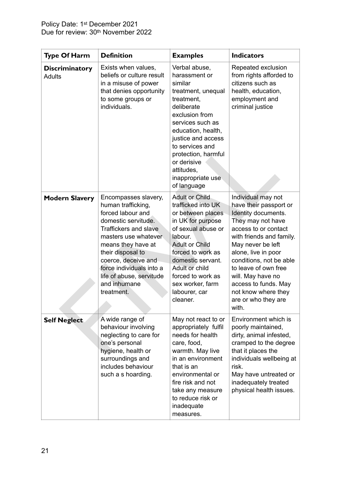| <b>Type Of Harm</b>                    | <b>Definition</b>                                                                                                                                                                                                                                                                                      | <b>Examples</b>                                                                                                                                                                                                                                                                          | <b>Indicators</b>                                                                                                                                                                                                                                                                                                                               |
|----------------------------------------|--------------------------------------------------------------------------------------------------------------------------------------------------------------------------------------------------------------------------------------------------------------------------------------------------------|------------------------------------------------------------------------------------------------------------------------------------------------------------------------------------------------------------------------------------------------------------------------------------------|-------------------------------------------------------------------------------------------------------------------------------------------------------------------------------------------------------------------------------------------------------------------------------------------------------------------------------------------------|
| <b>Discriminatory</b><br><b>Adults</b> | Exists when values,<br>beliefs or culture result<br>in a misuse of power<br>that denies opportunity<br>to some groups or<br>individuals.                                                                                                                                                               | Verbal abuse,<br>harassment or<br>similar<br>treatment, unequal<br>treatment,<br>deliberate<br>exclusion from<br>services such as<br>education, health,<br>justice and access<br>to services and<br>protection, harmful<br>or derisive<br>attitudes,<br>inappropriate use<br>of language | Repeated exclusion<br>from rights afforded to<br>citizens such as<br>health, education,<br>employment and<br>criminal justice                                                                                                                                                                                                                   |
| <b>Modern Slavery</b>                  | Encompasses slavery,<br>human trafficking,<br>forced labour and<br>domestic servitude.<br><b>Traffickers and slave</b><br>masters use whatever<br>means they have at<br>their disposal to<br>coerce, deceive and<br>force individuals into a<br>life of abuse, servitude<br>and inhumane<br>treatment. | <b>Adult or Child</b><br>trafficked into UK<br>or between places<br>in UK for purpose<br>of sexual abuse or<br>labour.<br><b>Adult or Child</b><br>forced to work as<br>domestic servant.<br>Adult or child<br>forced to work as<br>sex worker, farm<br>labourer, car<br>cleaner.        | Individual may not<br>have their passport or<br>Identity documents.<br>They may not have<br>access to or contact<br>with friends and family.<br>May never be left<br>alone, live in poor<br>conditions, not be able<br>to leave of own free<br>will. May have no<br>access to funds. May<br>not know where they<br>are or who they are<br>with. |
| <b>Self Neglect</b>                    | A wide range of<br>behaviour involving<br>neglecting to care for<br>one's personal<br>hygiene, health or<br>surroundings and<br>includes behaviour<br>such a s hoarding.                                                                                                                               | May not react to or<br>appropriately fulfil<br>needs for health<br>care, food,<br>warmth. May live<br>in an environment<br>that is an<br>environmental or<br>fire risk and not<br>take any measure<br>to reduce risk or<br>inadequate<br>measures.                                       | Environment which is<br>poorly maintained,<br>dirty, animal infested,<br>cramped to the degree<br>that it places the<br>individuals wellbeing at<br>risk.<br>May have untreated or<br>inadequately treated<br>physical health issues.                                                                                                           |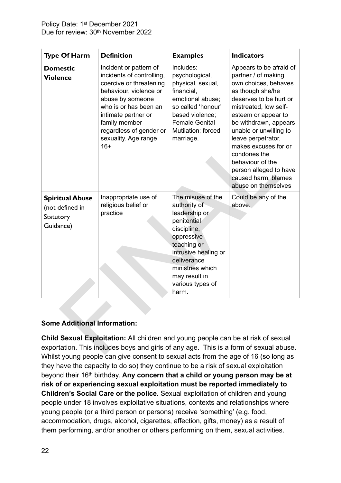| <b>Type Of Harm</b>                                                                                                                                                        | <b>Definition</b>                                                                                                                                                                                                                                         | <b>Examples</b>                                                                                                                                                                                                        | <b>Indicators</b>                                                                                                                                                                                                                                                                                                                                                                 |
|----------------------------------------------------------------------------------------------------------------------------------------------------------------------------|-----------------------------------------------------------------------------------------------------------------------------------------------------------------------------------------------------------------------------------------------------------|------------------------------------------------------------------------------------------------------------------------------------------------------------------------------------------------------------------------|-----------------------------------------------------------------------------------------------------------------------------------------------------------------------------------------------------------------------------------------------------------------------------------------------------------------------------------------------------------------------------------|
| <b>Domestic</b><br><b>Violence</b>                                                                                                                                         | Incident or pattern of<br>incidents of controlling,<br>coercive or threatening<br>behaviour, violence or<br>abuse by someone<br>who is or has been an<br>intimate partner or<br>family member<br>regardless of gender or<br>sexuality. Age range<br>$16+$ | Includes:<br>psychological,<br>physical, sexual,<br>financial,<br>emotional abuse;<br>so called 'honour'<br>based violence;<br><b>Female Genital</b><br>Mutilation; forced<br>marriage.                                | Appears to be afraid of<br>partner / of making<br>own choices, behaves<br>as though she/he<br>deserves to be hurt or<br>mistreated, low self-<br>esteem or appear to<br>be withdrawn, appears<br>unable or unwilling to<br>leave perpetrator,<br>makes excuses for or<br>condones the<br>behaviour of the<br>person alleged to have<br>caused harm, blames<br>abuse on themselves |
| <b>Spiritual Abuse</b><br>(not defined in<br>Statutory<br>Guidance)                                                                                                        | Inappropriate use of<br>religious belief or<br>practice                                                                                                                                                                                                   | The misuse of the<br>authority of<br>leadership or<br>penitential<br>discipline,<br>oppressive<br>teaching or<br>intrusive healing or<br>deliverance<br>ministries which<br>may result in<br>various types of<br>harm. | Could be any of the<br>above.                                                                                                                                                                                                                                                                                                                                                     |
| <b>Some Additional Information:</b>                                                                                                                                        |                                                                                                                                                                                                                                                           |                                                                                                                                                                                                                        |                                                                                                                                                                                                                                                                                                                                                                                   |
| Child Sexual Exploitation: All children and young people can be at risk of sexual<br>exportation. This includes boys and girls of any age. This is a form of sexual abuse. |                                                                                                                                                                                                                                                           |                                                                                                                                                                                                                        |                                                                                                                                                                                                                                                                                                                                                                                   |

#### **Some Additional Information:**

**Child Sexual Exploitation:** All children and young people can be at risk of sexual exportation. This includes boys and girls of any age. This is a form of sexual abuse. Whilst young people can give consent to sexual acts from the age of 16 (so long as they have the capacity to do so) they continue to be a risk of sexual exploitation beyond their 16th birthday. **Any concern that a child or young person may be at risk of or experiencing sexual exploitation must be reported immediately to Children's Social Care or the police.** Sexual exploitation of children and young people under 18 involves exploitative situations, contexts and relationships where young people (or a third person or persons) receive 'something' (e.g. food, accommodation, drugs, alcohol, cigarettes, affection, gifts, money) as a result of them performing, and/or another or others performing on them, sexual activities.